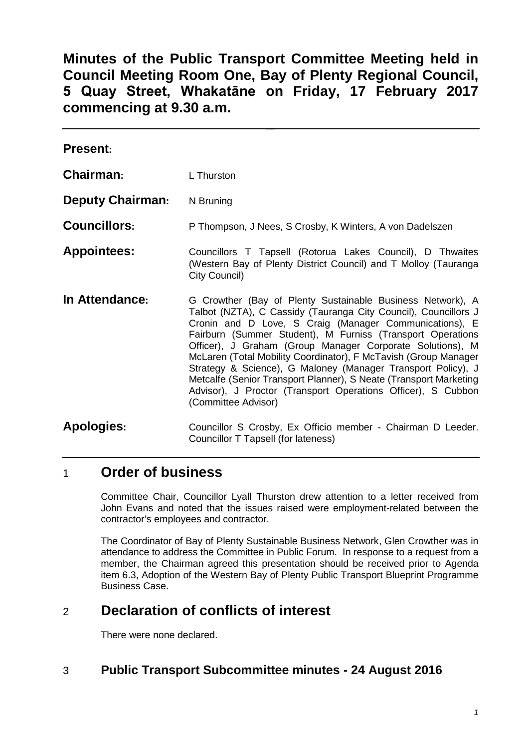**Minutes of the Public Transport Committee Meeting held in Council Meeting Room One, Bay of Plenty Regional Council, 5 Quay Street, Whakatāne on Friday, 17 February 2017 commencing at 9.30 a.m.**

| <b>Present:</b>         |                                                                                                                                                                                                                                                                                                                                                                                                                                                                                                                                                                                                                   |
|-------------------------|-------------------------------------------------------------------------------------------------------------------------------------------------------------------------------------------------------------------------------------------------------------------------------------------------------------------------------------------------------------------------------------------------------------------------------------------------------------------------------------------------------------------------------------------------------------------------------------------------------------------|
| Chairman:               | L Thurston                                                                                                                                                                                                                                                                                                                                                                                                                                                                                                                                                                                                        |
| <b>Deputy Chairman:</b> | N Bruning                                                                                                                                                                                                                                                                                                                                                                                                                                                                                                                                                                                                         |
| <b>Councillors:</b>     | P Thompson, J Nees, S Crosby, K Winters, A von Dadelszen                                                                                                                                                                                                                                                                                                                                                                                                                                                                                                                                                          |
| <b>Appointees:</b>      | Councillors T Tapsell (Rotorua Lakes Council), D Thwaites<br>(Western Bay of Plenty District Council) and T Molloy (Tauranga<br>City Council)                                                                                                                                                                                                                                                                                                                                                                                                                                                                     |
| In Attendance:          | G Crowther (Bay of Plenty Sustainable Business Network), A<br>Talbot (NZTA), C Cassidy (Tauranga City Council), Councillors J<br>Cronin and D Love, S Craig (Manager Communications), E<br>Fairburn (Summer Student), M Furniss (Transport Operations<br>Officer), J Graham (Group Manager Corporate Solutions), M<br>McLaren (Total Mobility Coordinator), F McTavish (Group Manager<br>Strategy & Science), G Maloney (Manager Transport Policy), J<br>Metcalfe (Senior Transport Planner), S Neate (Transport Marketing<br>Advisor), J Proctor (Transport Operations Officer), S Cubbon<br>(Committee Advisor) |
| <b>Apologies:</b>       | Councillor S Crosby, Ex Officio member - Chairman D Leeder.<br>Councillor T Tapsell (for lateness)                                                                                                                                                                                                                                                                                                                                                                                                                                                                                                                |

# 1 **Order of business**

Committee Chair, Councillor Lyall Thurston drew attention to a letter received from John Evans and noted that the issues raised were employment-related between the contractor's employees and contractor.

The Coordinator of Bay of Plenty Sustainable Business Network, Glen Crowther was in attendance to address the Committee in Public Forum. In response to a request from a member, the Chairman agreed this presentation should be received prior to Agenda item 6.3, Adoption of the Western Bay of Plenty Public Transport Blueprint Programme Business Case.

# 2 **Declaration of conflicts of interest**

There were none declared.

## 3 **Public Transport Subcommittee minutes - 24 August 2016**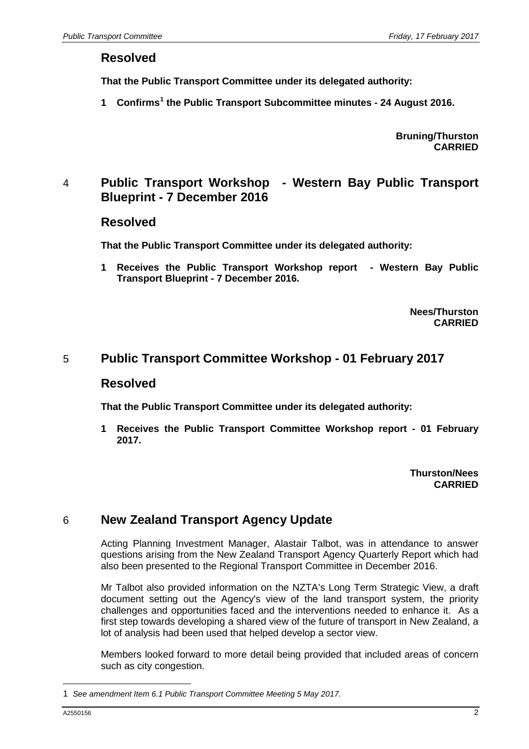#### **Resolved**

**That the Public Transport Committee under its delegated authority:**

**1 Confirms[1](#page-1-0) the Public Transport Subcommittee minutes - 24 August 2016.**

**Bruning/Thurston CARRIED**

## 4 **Public Transport Workshop - Western Bay Public Transport Blueprint - 7 December 2016**

#### **Resolved**

**That the Public Transport Committee under its delegated authority:**

**1 Receives the Public Transport Workshop report - Western Bay Public Transport Blueprint - 7 December 2016.**

> **Nees/Thurston CARRIED**

#### 5 **Public Transport Committee Workshop - 01 February 2017**

#### **Resolved**

**That the Public Transport Committee under its delegated authority:**

**1 Receives the Public Transport Committee Workshop report - 01 February 2017.**

> **Thurston/Nees CARRIED**

### 6 **New Zealand Transport Agency Update**

Acting Planning Investment Manager, Alastair Talbot, was in attendance to answer questions arising from the New Zealand Transport Agency Quarterly Report which had also been presented to the Regional Transport Committee in December 2016.

Mr Talbot also provided information on the NZTA's Long Term Strategic View, a draft document setting out the Agency's view of the land transport system, the priority challenges and opportunities faced and the interventions needed to enhance it. As a first step towards developing a shared view of the future of transport in New Zealand, a lot of analysis had been used that helped develop a sector view.

Members looked forward to more detail being provided that included areas of concern such as city congestion.

-

<span id="page-1-0"></span><sup>1</sup> *See amendment Item 6.1 Public Transport Committee Meeting 5 May 2017.*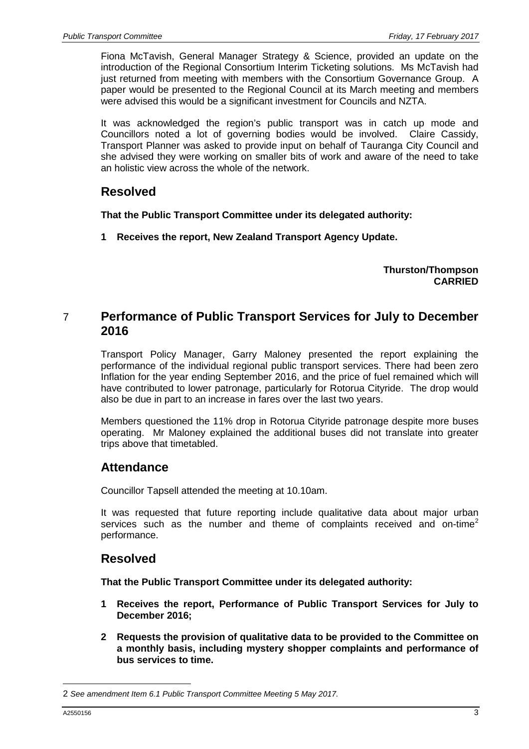Fiona McTavish, General Manager Strategy & Science, provided an update on the introduction of the Regional Consortium Interim Ticketing solutions. Ms McTavish had just returned from meeting with members with the Consortium Governance Group. A paper would be presented to the Regional Council at its March meeting and members were advised this would be a significant investment for Councils and NZTA.

It was acknowledged the region's public transport was in catch up mode and Councillors noted a lot of governing bodies would be involved. Claire Cassidy, Transport Planner was asked to provide input on behalf of Tauranga City Council and she advised they were working on smaller bits of work and aware of the need to take an holistic view across the whole of the network.

## **Resolved**

**That the Public Transport Committee under its delegated authority:**

**1 Receives the report, New Zealand Transport Agency Update.**

**Thurston/Thompson CARRIED**

## 7 **Performance of Public Transport Services for July to December 2016**

Transport Policy Manager, Garry Maloney presented the report explaining the performance of the individual regional public transport services. There had been zero Inflation for the year ending September 2016, and the price of fuel remained which will have contributed to lower patronage, particularly for Rotorua Cityride. The drop would also be due in part to an increase in fares over the last two years.

Members questioned the 11% drop in Rotorua Cityride patronage despite more buses operating. Mr Maloney explained the additional buses did not translate into greater trips above that timetabled.

## **Attendance**

Councillor Tapsell attended the meeting at 10.10am.

It was requested that future reporting include qualitative data about major urban services such as the number and theme of complaints received and on-time<sup>[2](#page-2-0)</sup> performance.

### **Resolved**

**That the Public Transport Committee under its delegated authority:**

- **1 Receives the report, Performance of Public Transport Services for July to December 2016;**
- **2 Requests the provision of qualitative data to be provided to the Committee on a monthly basis, including mystery shopper complaints and performance of bus services to time.**

-

<span id="page-2-0"></span><sup>2</sup> *See amendment Item 6.1 Public Transport Committee Meeting 5 May 2017.*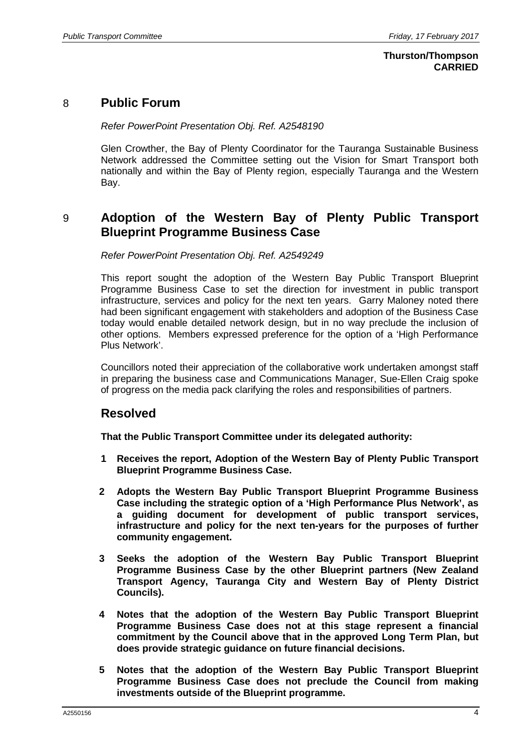#### **Thurston/Thompson CARRIED**

### 8 **Public Forum**

*Refer PowerPoint Presentation Obj. Ref. A2548190*

Glen Crowther, the Bay of Plenty Coordinator for the Tauranga Sustainable Business Network addressed the Committee setting out the Vision for Smart Transport both nationally and within the Bay of Plenty region, especially Tauranga and the Western Bay.

## 9 **Adoption of the Western Bay of Plenty Public Transport Blueprint Programme Business Case**

*Refer PowerPoint Presentation Obj. Ref. A2549249*

This report sought the adoption of the Western Bay Public Transport Blueprint Programme Business Case to set the direction for investment in public transport infrastructure, services and policy for the next ten years. Garry Maloney noted there had been significant engagement with stakeholders and adoption of the Business Case today would enable detailed network design, but in no way preclude the inclusion of other options. Members expressed preference for the option of a 'High Performance Plus Network'.

Councillors noted their appreciation of the collaborative work undertaken amongst staff in preparing the business case and Communications Manager, Sue-Ellen Craig spoke of progress on the media pack clarifying the roles and responsibilities of partners.

### **Resolved**

**That the Public Transport Committee under its delegated authority:**

- **1 Receives the report, Adoption of the Western Bay of Plenty Public Transport Blueprint Programme Business Case.**
- **2 Adopts the Western Bay Public Transport Blueprint Programme Business Case including the strategic option of a 'High Performance Plus Network', as a guiding document for development of public transport services, infrastructure and policy for the next ten-years for the purposes of further community engagement.**
- **3 Seeks the adoption of the Western Bay Public Transport Blueprint Programme Business Case by the other Blueprint partners (New Zealand Transport Agency, Tauranga City and Western Bay of Plenty District Councils).**
- **4 Notes that the adoption of the Western Bay Public Transport Blueprint Programme Business Case does not at this stage represent a financial commitment by the Council above that in the approved Long Term Plan, but does provide strategic guidance on future financial decisions.**
- **5 Notes that the adoption of the Western Bay Public Transport Blueprint Programme Business Case does not preclude the Council from making investments outside of the Blueprint programme.**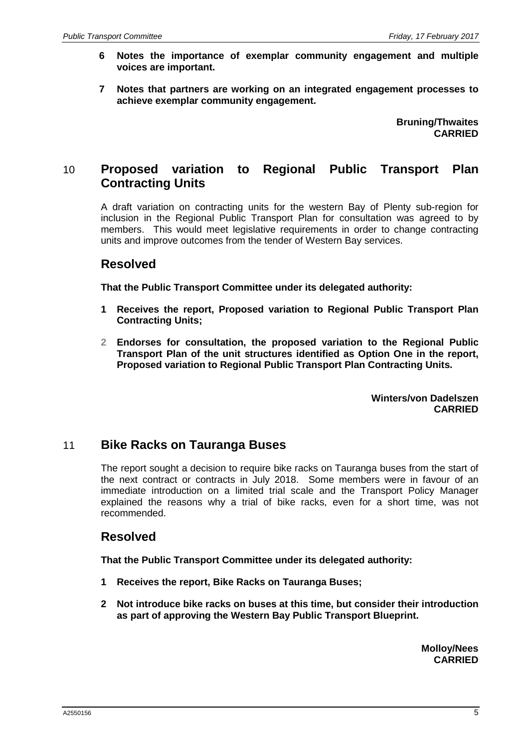- **6 Notes the importance of exemplar community engagement and multiple voices are important.**
- **7 Notes that partners are working on an integrated engagement processes to achieve exemplar community engagement.**

**Bruning/Thwaites CARRIED**

## 10 **Proposed variation to Regional Public Transport Plan Contracting Units**

A draft variation on contracting units for the western Bay of Plenty sub-region for inclusion in the Regional Public Transport Plan for consultation was agreed to by members. This would meet legislative requirements in order to change contracting units and improve outcomes from the tender of Western Bay services.

## **Resolved**

**That the Public Transport Committee under its delegated authority:**

- **1 Receives the report, Proposed variation to Regional Public Transport Plan Contracting Units;**
- **2 Endorses for consultation, the proposed variation to the Regional Public Transport Plan of the unit structures identified as Option One in the report, Proposed variation to Regional Public Transport Plan Contracting Units.**

**Winters/von Dadelszen CARRIED**

### 11 **Bike Racks on Tauranga Buses**

The report sought a decision to require bike racks on Tauranga buses from the start of the next contract or contracts in July 2018. Some members were in favour of an immediate introduction on a limited trial scale and the Transport Policy Manager explained the reasons why a trial of bike racks, even for a short time, was not recommended.

## **Resolved**

**That the Public Transport Committee under its delegated authority:**

- **1 Receives the report, Bike Racks on Tauranga Buses;**
- **2 Not introduce bike racks on buses at this time, but consider their introduction as part of approving the Western Bay Public Transport Blueprint.**

**Molloy/Nees CARRIED**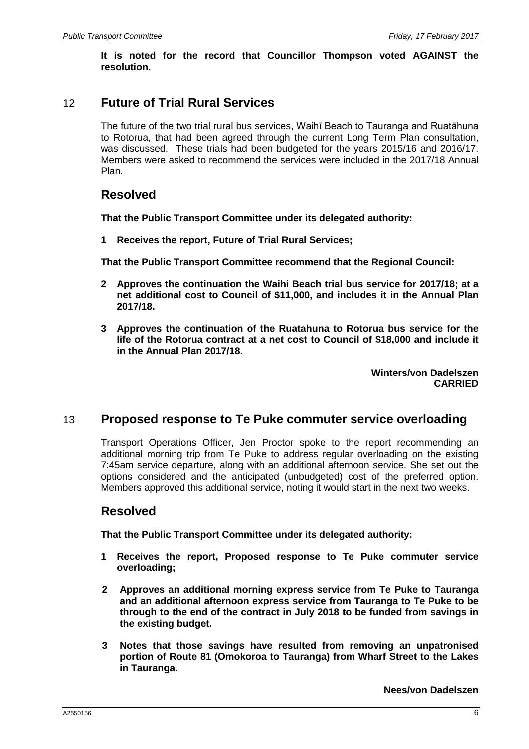**It is noted for the record that Councillor Thompson voted AGAINST the resolution.**

## 12 **Future of Trial Rural Services**

The future of the two trial rural bus services, Waihī Beach to Tauranga and Ruatāhuna to Rotorua, that had been agreed through the current Long Term Plan consultation, was discussed. These trials had been budgeted for the years 2015/16 and 2016/17. Members were asked to recommend the services were included in the 2017/18 Annual Plan.

## **Resolved**

**That the Public Transport Committee under its delegated authority:**

**1 Receives the report, Future of Trial Rural Services;**

**That the Public Transport Committee recommend that the Regional Council:**

- **2 Approves the continuation the Waihi Beach trial bus service for 2017/18; at a net additional cost to Council of \$11,000, and includes it in the Annual Plan 2017/18.**
- **3 Approves the continuation of the Ruatahuna to Rotorua bus service for the life of the Rotorua contract at a net cost to Council of \$18,000 and include it in the Annual Plan 2017/18.**

**Winters/von Dadelszen CARRIED**

### 13 **Proposed response to Te Puke commuter service overloading**

Transport Operations Officer, Jen Proctor spoke to the report recommending an additional morning trip from Te Puke to address regular overloading on the existing 7:45am service departure, along with an additional afternoon service. She set out the options considered and the anticipated (unbudgeted) cost of the preferred option. Members approved this additional service, noting it would start in the next two weeks.

## **Resolved**

**That the Public Transport Committee under its delegated authority:**

- **1 Receives the report, Proposed response to Te Puke commuter service overloading;**
- **2 Approves an additional morning express service from Te Puke to Tauranga and an additional afternoon express service from Tauranga to Te Puke to be through to the end of the contract in July 2018 to be funded from savings in the existing budget.**
- **3 Notes that those savings have resulted from removing an unpatronised portion of Route 81 (Omokoroa to Tauranga) from Wharf Street to the Lakes in Tauranga.**

**Nees/von Dadelszen**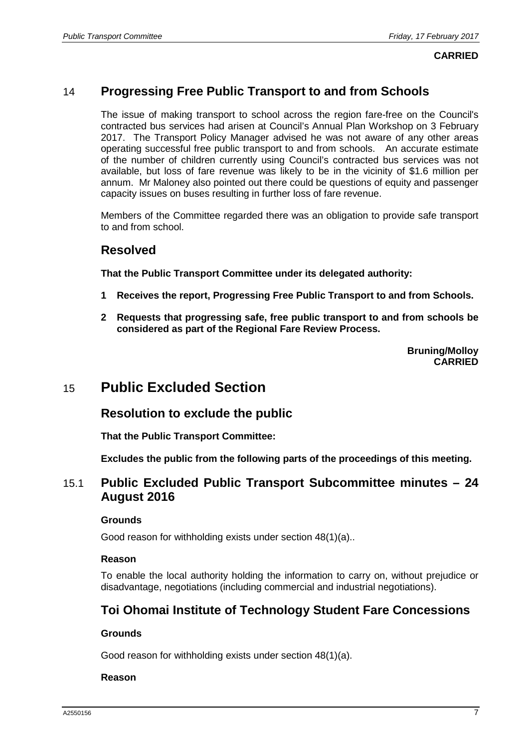## 14 **Progressing Free Public Transport to and from Schools**

The issue of making transport to school across the region fare-free on the Council's contracted bus services had arisen at Council's Annual Plan Workshop on 3 February 2017. The Transport Policy Manager advised he was not aware of any other areas operating successful free public transport to and from schools. An accurate estimate of the number of children currently using Council's contracted bus services was not available, but loss of fare revenue was likely to be in the vicinity of \$1.6 million per annum. Mr Maloney also pointed out there could be questions of equity and passenger capacity issues on buses resulting in further loss of fare revenue.

Members of the Committee regarded there was an obligation to provide safe transport to and from school.

#### **Resolved**

**That the Public Transport Committee under its delegated authority:**

- **1 Receives the report, Progressing Free Public Transport to and from Schools.**
- **2 Requests that progressing safe, free public transport to and from schools be considered as part of the Regional Fare Review Process.**

**Bruning/Molloy CARRIED**

# 15 **Public Excluded Section**

### **Resolution to exclude the public**

**That the Public Transport Committee:**

**Excludes the public from the following parts of the proceedings of this meeting.**

### 15.1 **Public Excluded Public Transport Subcommittee minutes – 24 August 2016**

#### **Grounds**

Good reason for withholding exists under section 48(1)(a)..

#### **Reason**

To enable the local authority holding the information to carry on, without prejudice or disadvantage, negotiations (including commercial and industrial negotiations).

## **Toi Ohomai Institute of Technology Student Fare Concessions**

#### **Grounds**

Good reason for withholding exists under section 48(1)(a).

#### **Reason**